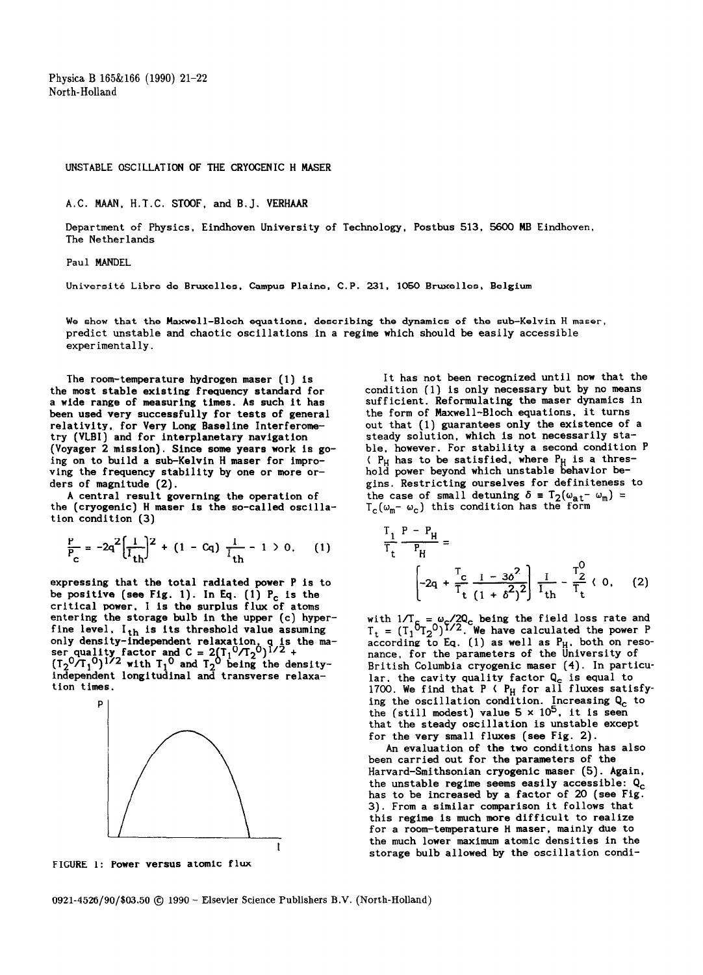**Physica B 165&166 (1990) 21-22 North-Holland** 

## **UNSTABLE OSCILLATION OF THE CRYOGENIC H MASER**

**A.C. MAAN, H.T.C. STOOF, and B.J. VERHAAR** 

**Department of Physics, Eindhoven University of Technology, Postbus 513. 5600 MB Eindhoven. The Netherlands** 

**Paul MANDEL** 

**Universite Libre de Bruxelles. Campus Plaine, C.P. 231, 1050 Bruxelles. Belgium** 

**We show that the Maxwell-Bloch equations. describing the dynamics of the sub-Kelvin H maser, predict unstable and chaotic oscillations in a regime which should be easily accessible experimentally.** 

**The room-temperature hydrogen maser (1) is the most stable existing frequency standard for a wide range of measuring times. As such it has been used very successfully for tests of general relativity, for Very Long Baseline Interferometry (VLBI) and for interplanetary navigation (Voyager 2 mission). Since some years work is going on to build a sub-Kelvin H maser for improving the frequency stability by one or more orders of magnitude (2).** 

**A central result governing the operation of the (cryogenic) H maser is the so-called oscillation condition (3)** 

$$
\frac{P}{P_c} = -2q^2 \left[ \frac{1}{I_{th}} \right]^2 + (1 - Cq) \frac{I}{I_{th}} - 1 > 0, \quad (1)
$$

**expressing that the total radiated power P is to**  be positive (see Fig. 1). In Eq. (1) P<sub>c</sub> is the **critical power, I is the surplus flux of atoms entering the storage bulb in the upper (c) hyperfine level, Ith is its threshold value assuming**  only density-independent relaxation, **q** is ser quality factor and C = 2(T<sub>1</sub>°/T<sub>2</sub><br>(T.<sup>0</sup>/T.<sup>0</sup>)<sup>1/2</sup> with T.<sup>0</sup> and T.<sup>0</sup> being **t, Y/2 the ma- ) +**   $(T_2'$ <sup>U</sup>/ $T_1$ <sup>U</sup>)<sup>1/2</sup> with  $T_1'$  and  $T_2'$  being the density **independent longitudinal and transverse relaxation times.** 



**FIGURE 1: Power versus atomic flux** 

**It has not been recognized until now that the condition (1) is only necessary but by no means sufficient. Reformulating the maser dynamics in the form of Maxwell-Bloch equations, it turns out that (1) guarantees only the existence of a steady solution. which is not necessarily stable, however. For stability a second condition P ( P<sub>H</sub> has to be satisfied, where P<sub>H</sub> is a thres hold power beyond which unstable behavior begins. Restricting ourselves for definiteness to**  the case of small detuning  $\delta = T_2(\omega_{at} - \omega_m)$  =  $T_c(\omega_m-\omega_c)$  this condition has the form

$$
\frac{T_1}{T_t} \frac{P - P_H}{P_H} = \left[-2q + \frac{T_C}{T_t} \frac{1 - 3\delta^2}{(1 + \delta^2)^2}\right] \frac{I}{I_{th}} - \frac{T_2^0}{T_t} \langle 0, (2) \rangle
$$

with  $1/T_c = \omega_c / 2Q_c$  being the field loss rate and  $T_t = (T_1^{\circ}T_2^{\circ})^{1/2}$ . We have calculated the power P according to Eq. (1) as well as **P<sub>H</sub>, both on reso nance, for the parameters of the University of British Columbia cryogenic maser (4). In particu**lar, the cavity quality factor **Q<sub>c</sub> is equal to** 1700. We find that P **(** P<sub>H</sub> for all fluxes satisf ing the oscillation condition. Increasing Q<sub>c</sub> to **the (still modest) value 5 x 105, it is seen that the steady oscillation is unstable except for the very small fluxes (see Fig. 2).** 

**An evaluation of the two conditions has also been carried out for the parameters of the Harvard-Smithsonian cryogenic maser (5). Again, the unstable regime seems easily accessible: Qc has to be increased by a factor of 20 (see Fig. 3). From a similar comparison it follows that this regime is much more difficult to realize for a room-temperature H maser, mainly due to the much lower maximum atomic densities in the storage bulb allowed by the oscillation condi-**

**0921-4526/90/\$03.50 @ 1990 - Elsevier Science Publishers B.V. (North-Holland)**